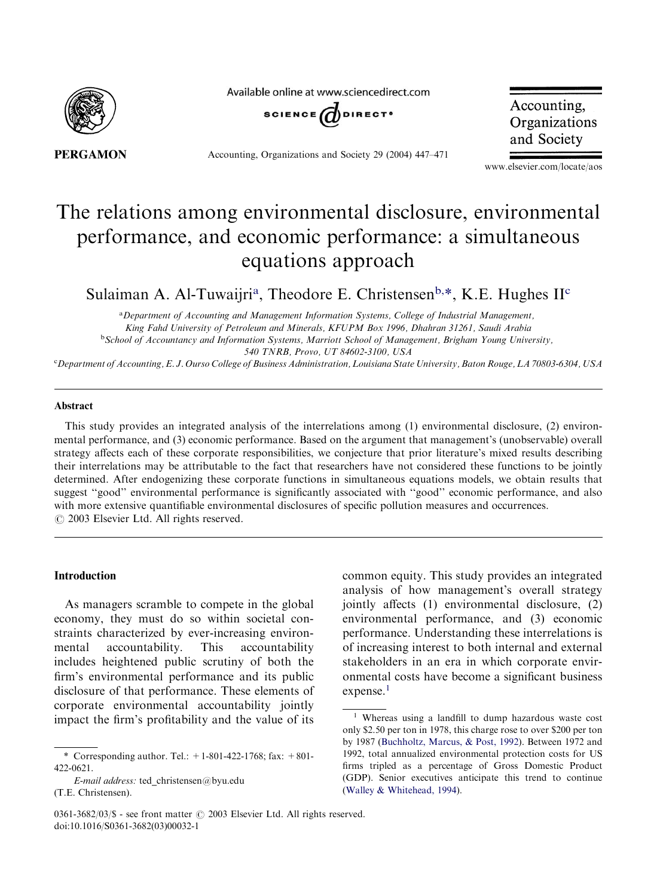

**PERGAMON** 

Available online at www.sciencedirect.com



Accounting, Organizations and Society 29 (2004) 447–471

Accounting, Organizations and Society

[www.elsevier.com/locate/aos](http://www.elsevier.com/locate/aos/a4.3d)

## The relations among environmental disclosure, environmental performance, and economic performance: a simultaneous equations approach

Sulaiman A. Al-Tuwaijri<sup>a</sup>, Theodore E. Christensen<sup>b,\*</sup>, K.E. Hughes II<sup>c</sup>

a Department of Accounting and Management Information Systems, College of Industrial Management, King Fahd University of Petroleum and Minerals, KFUPM Box1996, Dhahran 31261, Saudi Arabia <sup>b</sup>School of Accountancy and Information Systems, Marriott School of Management, Brigham Young University, 540 TNRB, Provo, UT 84602-3100, USA

c Department of Accounting, E. J. Ourso College of Business Administration, Louisiana State University, Baton Rouge, LA 70803-6304, USA

## Abstract

This study provides an integrated analysis of the interrelations among (1) environmental disclosure, (2) environmental performance, and (3) economic performance. Based on the argument that management's (unobservable) overall strategy affects each of these corporate responsibilities, we conjecture that prior literature's mixed results describing their interrelations may be attributable to the fact that researchers have not considered these functions to be jointly determined. After endogenizing these corporate functions in simultaneous equations models, we obtain results that suggest ''good'' environmental performance is significantly associated with ''good'' economic performance, and also with more extensive quantifiable environmental disclosures of specific pollution measures and occurrences.  $\odot$  2003 Elsevier Ltd. All rights reserved.

## Introduction

As managers scramble to compete in the global economy, they must do so within societal constraints characterized by ever-increasing environmental accountability. This accountability includes heightened public scrutiny of both the firm's environmental performance and its public disclosure of that performance. These elements of corporate environmental accountability jointly impact the firm's profitability and the value of its

E-mail address: [ted\\_christensen@byu.edu](mailto:ted&underscore;christensen@byu.edu) (T.E. Christensen).

common equity. This study provides an integrated analysis of how management's overall strategy jointly affects (1) environmental disclosure, (2) environmental performance, and (3) economic performance. Understanding these interrelations is of increasing interest to both internal and external stakeholders in an era in which corporate environmental costs have become a significant business expense.<sup>1</sup>

<sup>\*</sup> Corresponding author. Tel.:  $+1-801-422-1768$ ; fax:  $+801-$ 422-0621.

<sup>1</sup> Whereas using a landfill to dump hazardous waste cost only \$2.50 per ton in 1978, this charge rose to over \$200 per ton by 1987 ([Buchholtz, Marcus, & Post, 1992\)](#page--1-0). Between 1972 and 1992, total annualized environmental protection costs for US firms tripled as a percentage of Gross Domestic Product (GDP). Senior executives anticipate this trend to continue ([Walley & Whitehead, 1994](#page--1-0)).

 $0361-3682/03$ /\$ - see front matter  $\odot$  2003 Elsevier Ltd. All rights reserved. doi:10.1016/S0361-3682(03)00032-1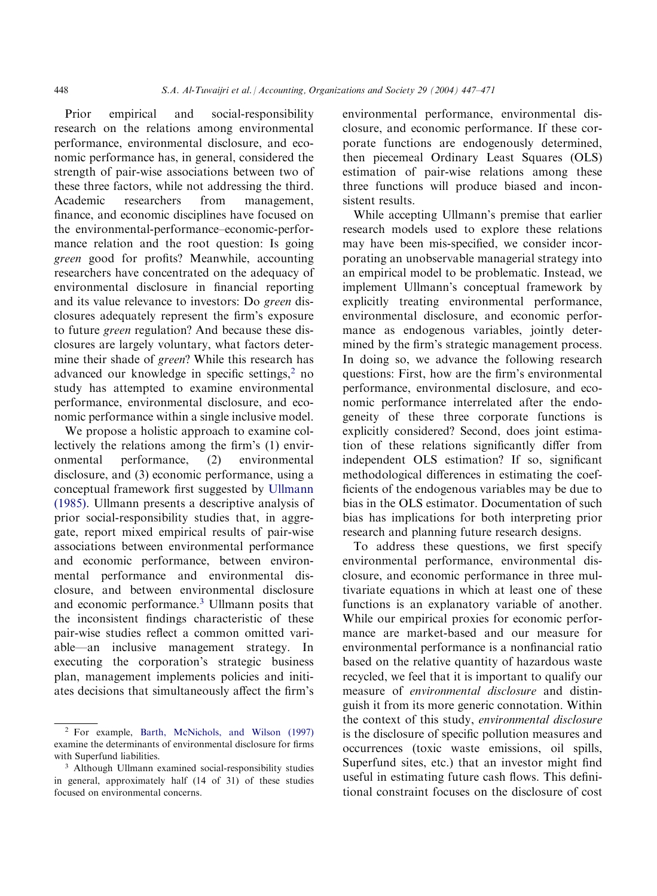Prior empirical and social-responsibility research on the relations among environmental performance, environmental disclosure, and economic performance has, in general, considered the strength of pair-wise associations between two of these three factors, while not addressing the third. Academic researchers from management, finance, and economic disciplines have focused on the environmental-performance–economic-performance relation and the root question: Is going green good for profits? Meanwhile, accounting researchers have concentrated on the adequacy of environmental disclosure in financial reporting and its value relevance to investors: Do green disclosures adequately represent the firm's exposure to future green regulation? And because these disclosures are largely voluntary, what factors determine their shade of green? While this research has advanced our knowledge in specific settings,<sup>2</sup> no study has attempted to examine environmental performance, environmental disclosure, and economic performance within a single inclusive model.

We propose a holistic approach to examine collectively the relations among the firm's (1) environmental performance, (2) environmental disclosure, and (3) economic performance, using a conceptual framework first suggested by [Ullmann](#page--1-0) [\(1985\)](#page--1-0). Ullmann presents a descriptive analysis of prior social-responsibility studies that, in aggregate, report mixed empirical results of pair-wise associations between environmental performance and economic performance, between environmental performance and environmental disclosure, and between environmental disclosure and economic performance.3 Ullmann posits that the inconsistent findings characteristic of these pair-wise studies reflect a common omitted variable—an inclusive management strategy. In executing the corporation's strategic business plan, management implements policies and initiates decisions that simultaneously affect the firm's environmental performance, environmental disclosure, and economic performance. If these corporate functions are endogenously determined, then piecemeal Ordinary Least Squares (OLS) estimation of pair-wise relations among these three functions will produce biased and inconsistent results.

While accepting Ullmann's premise that earlier research models used to explore these relations may have been mis-specified, we consider incorporating an unobservable managerial strategy into an empirical model to be problematic. Instead, we implement Ullmann's conceptual framework by explicitly treating environmental performance, environmental disclosure, and economic performance as endogenous variables, jointly determined by the firm's strategic management process. In doing so, we advance the following research questions: First, how are the firm's environmental performance, environmental disclosure, and economic performance interrelated after the endogeneity of these three corporate functions is explicitly considered? Second, does joint estimation of these relations significantly differ from independent OLS estimation? If so, significant methodological differences in estimating the coefficients of the endogenous variables may be due to bias in the OLS estimator. Documentation of such bias has implications for both interpreting prior research and planning future research designs.

To address these questions, we first specify environmental performance, environmental disclosure, and economic performance in three multivariate equations in which at least one of these functions is an explanatory variable of another. While our empirical proxies for economic performance are market-based and our measure for environmental performance is a nonfinancial ratio based on the relative quantity of hazardous waste recycled, we feel that it is important to qualify our measure of environmental disclosure and distinguish it from its more generic connotation. Within the context of this study, environmental disclosure is the disclosure of specific pollution measures and occurrences (toxic waste emissions, oil spills, Superfund sites, etc.) that an investor might find useful in estimating future cash flows. This definitional constraint focuses on the disclosure of cost

<sup>2</sup> For example, [Barth, McNichols, and Wilson \(1997\)](#page--1-0) examine the determinants of environmental disclosure for firms with Superfund liabilities.

<sup>3</sup> Although Ullmann examined social-responsibility studies in general, approximately half (14 of 31) of these studies focused on environmental concerns.